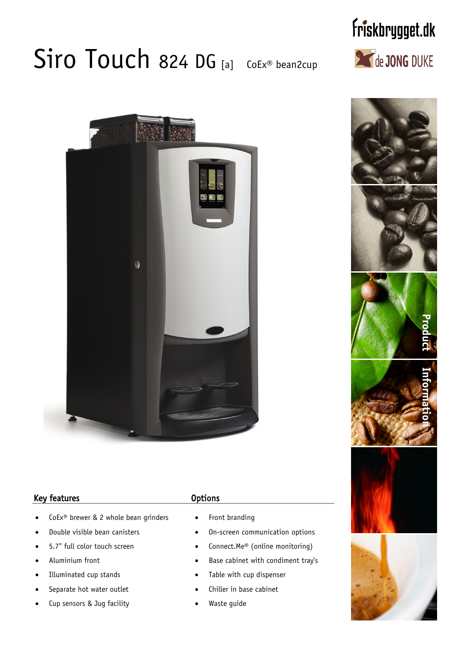# Siro Touch 824 DG [a] CoEx® bean2cup

# $\Omega$

### Key features **Contract Contract Contract Contract Contract Contract Contract Contract Contract Contract Contract Contract Contract Contract Contract Contract Contract Contract Contract Contract Contract Contract Contract C**

- CoEx<sup>®</sup> brewer & 2 whole bean grinders
- · Double visible bean canisters
- 5.7" full color touch screen
- Aluminium front
- Illuminated cup stands
- Separate hot water outlet
- Cup sensors & Jug facility

- Front branding
- · On-screen communication options
- Connect.Me® (online monitoring)
- Base cabinet with condiment tray's
- Table with cup dispenser
- Chiller in base cabinet
- Waste guide